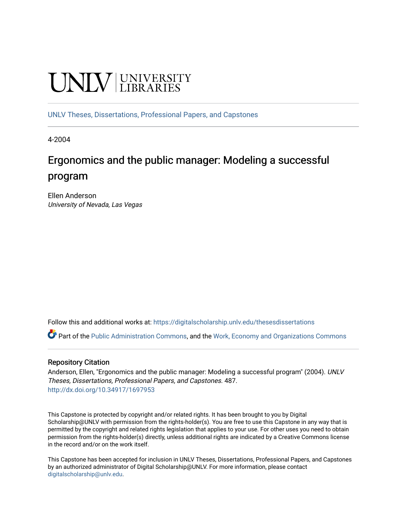# **UNIVERSITY**

[UNLV Theses, Dissertations, Professional Papers, and Capstones](https://digitalscholarship.unlv.edu/thesesdissertations)

4-2004

# Ergonomics and the public manager: Modeling a successful program

Ellen Anderson University of Nevada, Las Vegas

Follow this and additional works at: [https://digitalscholarship.unlv.edu/thesesdissertations](https://digitalscholarship.unlv.edu/thesesdissertations?utm_source=digitalscholarship.unlv.edu%2Fthesesdissertations%2F487&utm_medium=PDF&utm_campaign=PDFCoverPages)

Part of the [Public Administration Commons](http://network.bepress.com/hgg/discipline/398?utm_source=digitalscholarship.unlv.edu%2Fthesesdissertations%2F487&utm_medium=PDF&utm_campaign=PDFCoverPages), and the [Work, Economy and Organizations Commons](http://network.bepress.com/hgg/discipline/433?utm_source=digitalscholarship.unlv.edu%2Fthesesdissertations%2F487&utm_medium=PDF&utm_campaign=PDFCoverPages)

## Repository Citation

Anderson, Ellen, "Ergonomics and the public manager: Modeling a successful program" (2004). UNLV Theses, Dissertations, Professional Papers, and Capstones. 487. <http://dx.doi.org/10.34917/1697953>

This Capstone is protected by copyright and/or related rights. It has been brought to you by Digital Scholarship@UNLV with permission from the rights-holder(s). You are free to use this Capstone in any way that is permitted by the copyright and related rights legislation that applies to your use. For other uses you need to obtain permission from the rights-holder(s) directly, unless additional rights are indicated by a Creative Commons license in the record and/or on the work itself.

This Capstone has been accepted for inclusion in UNLV Theses, Dissertations, Professional Papers, and Capstones by an authorized administrator of Digital Scholarship@UNLV. For more information, please contact [digitalscholarship@unlv.edu](mailto:digitalscholarship@unlv.edu).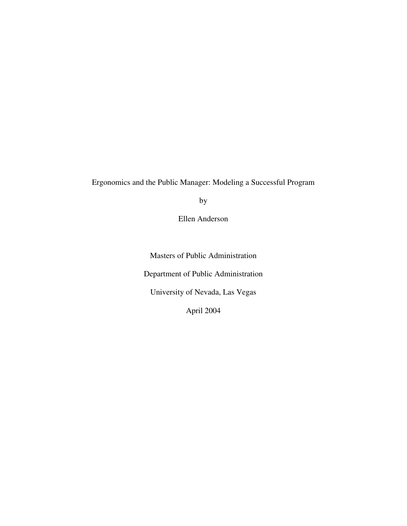Ergonomics and the Public Manager: Modeling a Successful Program

by

Ellen Anderson

Masters of Public Administration Department of Public Administration University of Nevada, Las Vegas April 2004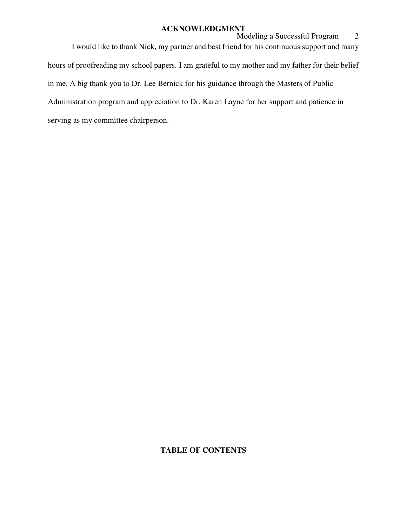#### **ACKNOWLEDGMENT**

Modeling a Successful Program 2 I would like to thank Nick, my partner and best friend for his continuous support and many hours of proofreading my school papers. I am grateful to my mother and my father for their belief in me. A big thank you to Dr. Lee Bernick for his guidance through the Masters of Public Administration program and appreciation to Dr. Karen Layne for her support and patience in serving as my committee chairperson.

# **TABLE OF CONTENTS**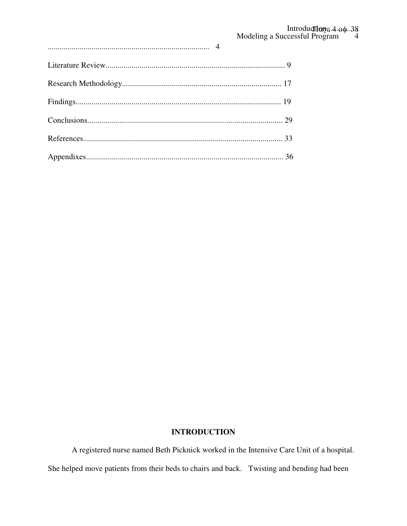# **INTRODUCTION**

A registered nurse named Beth Picknick worked in the Intensive Care Unit of a hospital. She helped move patients from their beds to chairs and back. Twisting and bending had been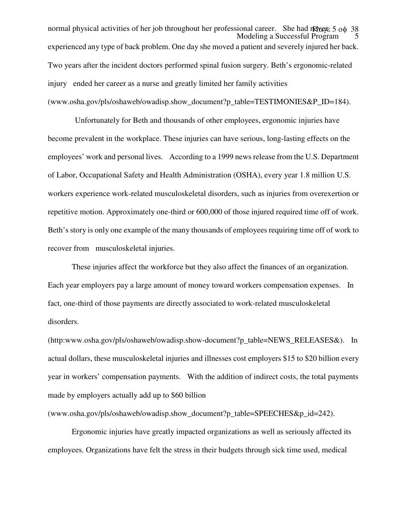Modeling a Successful Program normal physical activities of her job throughout her professional career. She had never 5 οφ 38 experienced any type of back problem. One day she moved a patient and severely injured her back. Two years after the incident doctors performed spinal fusion surgery. Beth's ergonomic-related injury ended her career as a nurse and greatly limited her family activities (www.osha.gov/pls/oshaweb/owadisp.show\_document?p\_table=TESTIMONIES&P\_ID=184).

 Unfortunately for Beth and thousands of other employees, ergonomic injuries have become prevalent in the workplace. These injuries can have serious, long-lasting effects on the employees' work and personal lives. According to a 1999 news release from the U.S. Department of Labor, Occupational Safety and Health Administration (OSHA), every year 1.8 million U.S. workers experience work-related musculoskeletal disorders, such as injuries from overexertion or repetitive motion. Approximately one-third or 600,000 of those injured required time off of work. Beth's story is only one example of the many thousands of employees requiring time off of work to recover from musculoskeletal injuries.

These injuries affect the workforce but they also affect the finances of an organization. Each year employers pay a large amount of money toward workers compensation expenses. In fact, one-third of those payments are directly associated to work-related musculoskeletal disorders.

(http:www.osha.gov/pls/oshaweb/owadisp.show-document?p\_table=NEWS\_RELEASES&). In actual dollars, these musculoskeletal injuries and illnesses cost employers \$15 to \$20 billion every year in workers' compensation payments. With the addition of indirect costs, the total payments made by employers actually add up to \$60 billion

(www.osha.gov/pls/oshaweb/owadisp.show\_document?p\_table=SPEECHES&p\_id=242).

Ergonomic injuries have greatly impacted organizations as well as seriously affected its employees. Organizations have felt the stress in their budgets through sick time used, medical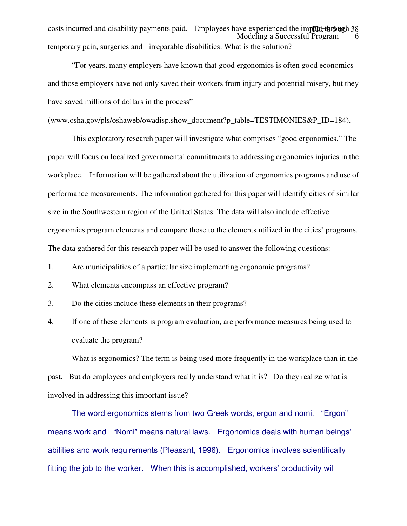Modeling a Successful Program 6 costs incurred and disability payments paid. Employees have experienced the impact through 38 temporary pain, surgeries and irreparable disabilities. What is the solution?

"For years, many employers have known that good ergonomics is often good economics and those employers have not only saved their workers from injury and potential misery, but they have saved millions of dollars in the process"

```
(www.osha.gov/pls/oshaweb/owadisp.show_document?p_table=TESTIMONIES&P_ID=184).
```
This exploratory research paper will investigate what comprises "good ergonomics." The paper will focus on localized governmental commitments to addressing ergonomics injuries in the workplace. Information will be gathered about the utilization of ergonomics programs and use of performance measurements. The information gathered for this paper will identify cities of similar size in the Southwestern region of the United States. The data will also include effective ergonomics program elements and compare those to the elements utilized in the cities' programs. The data gathered for this research paper will be used to answer the following questions:

- 1. Are municipalities of a particular size implementing ergonomic programs?
- 2. What elements encompass an effective program?
- 3. Do the cities include these elements in their programs?
- 4. If one of these elements is program evaluation, are performance measures being used to evaluate the program?

What is ergonomics? The term is being used more frequently in the workplace than in the past. But do employees and employers really understand what it is? Do they realize what is involved in addressing this important issue?

The word ergonomics stems from two Greek words, ergon and nomi. "Ergon" means work and "Nomi" means natural laws. Ergonomics deals with human beings' abilities and work requirements (Pleasant, 1996). Ergonomics involves scientifically fitting the job to the worker. When this is accomplished, workers' productivity will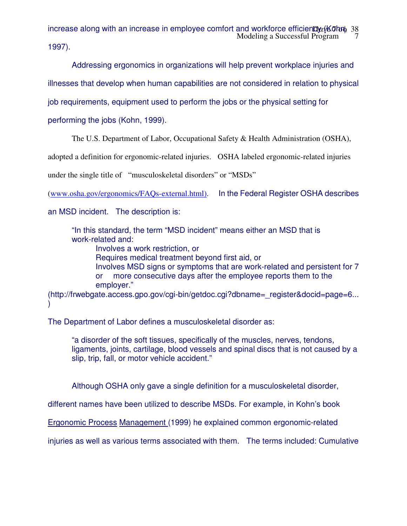Modeling a Successful Program 7 increase along with an increase in employee comfort and workforce efficiency (Kohn, 38

1997).

Addressing ergonomics in organizations will help prevent workplace injuries and

illnesses that develop when human capabilities are not considered in relation to physical

job requirements, equipment used to perform the jobs or the physical setting for

performing the jobs (Kohn, 1999).

The U.S. Department of Labor, Occupational Safety & Health Administration (OSHA),

adopted a definition for ergonomic-related injuries. OSHA labeled ergonomic-related injuries

under the single title of "musculoskeletal disorders" or "MSDs"

(www.osha.gov/ergonomics/FAQs-external.html). In the Federal Register OSHA describes

an MSD incident. The description is:

"In this standard, the term "MSD incident" means either an MSD that is work-related and:

Involves a work restriction, or Requires medical treatment beyond first aid, or Involves MSD signs or symptoms that are work-related and persistent for 7 or more consecutive days after the employee reports them to the employer."

(http://frwebgate.access.gpo.gov/cgi-bin/getdoc.cgi?dbname=\_register&docid=page=6... )

The Department of Labor defines a musculoskeletal disorder as:

"a disorder of the soft tissues, specifically of the muscles, nerves, tendons, ligaments, joints, cartilage, blood vessels and spinal discs that is not caused by a slip, trip, fall, or motor vehicle accident."

Although OSHA only gave a single definition for a musculoskeletal disorder,

different names have been utilized to describe MSDs. For example, in Kohn's book

Ergonomic Process Management (1999) he explained common ergonomic-related

injuries as well as various terms associated with them. The terms included: Cumulative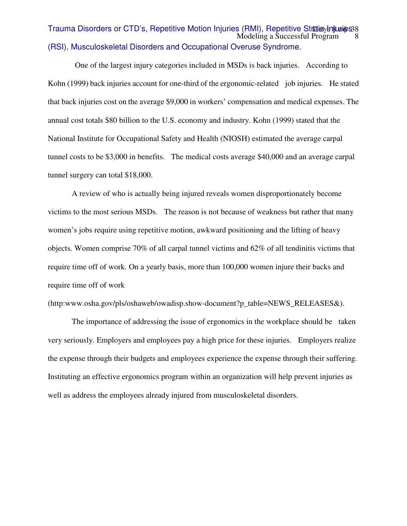#### $\text{Modeling}$  a Successful Program  $\frac{8}{3}$ Trauma Disorders or CTD's, Repetitive Motion Injuries (RMI), Repetitive Str**a**iωγ**bາ**‱bes 8 (RSI), Musculoskeletal Disorders and Occupational Overuse Syndrome.

 One of the largest injury categories included in MSDs is back injuries. According to Kohn (1999) back injuries account for one-third of the ergonomic-related job injuries. He stated that back injuries cost on the average \$9,000 in workers' compensation and medical expenses. The annual cost totals \$80 billion to the U.S. economy and industry. Kohn (1999) stated that the National Institute for Occupational Safety and Health (NIOSH) estimated the average carpal tunnel costs to be \$3,000 in benefits. The medical costs average \$40,000 and an average carpal tunnel surgery can total \$18,000.

A review of who is actually being injured reveals women disproportionately become victims to the most serious MSDs. The reason is not because of weakness but rather that many women's jobs require using repetitive motion, awkward positioning and the lifting of heavy objects. Women comprise 70% of all carpal tunnel victims and 62% of all tendinitis victims that require time off of work. On a yearly basis, more than 100,000 women injure their backs and require time off of work

(http:www.osha.gov/pls/oshaweb/owadisp.show-document?p\_table=NEWS\_RELEASES&).

The importance of addressing the issue of ergonomics in the workplace should be taken very seriously. Employers and employees pay a high price for these injuries. Employers realize the expense through their budgets and employees experience the expense through their suffering. Instituting an effective ergonomics program within an organization will help prevent injuries as well as address the employees already injured from musculoskeletal disorders.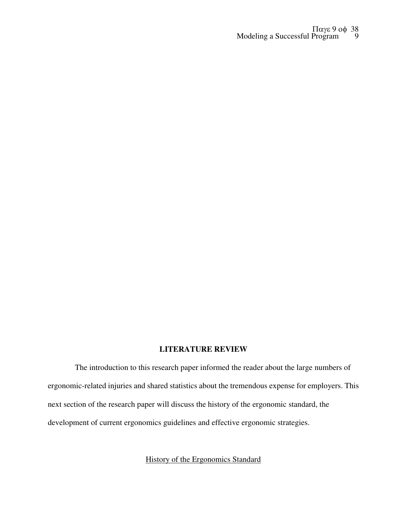#### Modeling a Successful Program 9 Παγε 9 οφ 38

#### **LITERATURE REVIEW**

 The introduction to this research paper informed the reader about the large numbers of ergonomic-related injuries and shared statistics about the tremendous expense for employers. This next section of the research paper will discuss the history of the ergonomic standard, the development of current ergonomics guidelines and effective ergonomic strategies.

# History of the Ergonomics Standard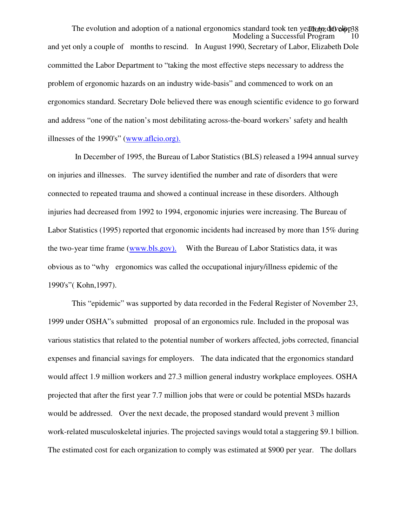Modeling a Successful Program The evolution and adoption of a national ergonomics standard took ten years to develop 38 and yet only a couple of months to rescind. In August 1990, Secretary of Labor, Elizabeth Dole committed the Labor Department to "taking the most effective steps necessary to address the problem of ergonomic hazards on an industry wide-basis" and commenced to work on an ergonomics standard. Secretary Dole believed there was enough scientific evidence to go forward and address "one of the nation's most debilitating across-the-board workers' safety and health illnesses of the 1990's" (www.aflcio.org).

 In December of 1995, the Bureau of Labor Statistics (BLS) released a 1994 annual survey on injuries and illnesses. The survey identified the number and rate of disorders that were connected to repeated trauma and showed a continual increase in these disorders. Although injuries had decreased from 1992 to 1994, ergonomic injuries were increasing. The Bureau of Labor Statistics (1995) reported that ergonomic incidents had increased by more than 15% during the two-year time frame (www.bls.gov). With the Bureau of Labor Statistics data, it was obvious as to "why ergonomics was called the occupational injury/illness epidemic of the 1990's"( Kohn,1997).

This "epidemic" was supported by data recorded in the Federal Register of November 23, 1999 under OSHA"s submitted proposal of an ergonomics rule. Included in the proposal was various statistics that related to the potential number of workers affected, jobs corrected, financial expenses and financial savings for employers. The data indicated that the ergonomics standard would affect 1.9 million workers and 27.3 million general industry workplace employees. OSHA projected that after the first year 7.7 million jobs that were or could be potential MSDs hazards would be addressed. Over the next decade, the proposed standard would prevent 3 million work-related musculoskeletal injuries. The projected savings would total a staggering \$9.1 billion. The estimated cost for each organization to comply was estimated at \$900 per year. The dollars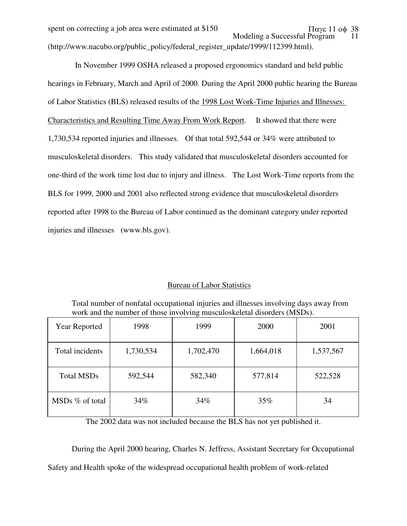Modeling a Successful Program 11 spent on correcting a job area were estimated at \$150  $\pi$   $\alpha$  as 11 op 38 (http://www.nacubo.org/public\_policy/federal\_register\_update/1999/112399.html).

 In November 1999 OSHA released a proposed ergonomics standard and held public hearings in February, March and April of 2000. During the April 2000 public hearing the Bureau of Labor Statistics (BLS) released results of the 1998 Lost Work-Time Injuries and Illnesses: Characteristics and Resulting Time Away From Work Report. It showed that there were 1,730,534 reported injuries and illnesses. Of that total 592,544 or 34% were attributed to musculoskeletal disorders. This study validated that musculoskeletal disorders accounted for one-third of the work time lost due to injury and illness. The Lost Work-Time reports from the BLS for 1999, 2000 and 2001 also reflected strong evidence that musculoskeletal disorders reported after 1998 to the Bureau of Labor continued as the dominant category under reported injuries and illnesses (www.bls.gov).

## Bureau of Labor Statistics

Total number of nonfatal occupational injuries and illnesses involving days away from work and the number of those involving musculoskeletal disorders (MSDs).

| Year Reported     | 1998      | 1999      | 2000      | 2001      |
|-------------------|-----------|-----------|-----------|-----------|
| Total incidents   | 1,730,534 | 1,702,470 | 1,664,018 | 1,537,567 |
| <b>Total MSDs</b> | 592,544   | 582,340   | 577,814   | 522,528   |
| $MSDs$ % of total | 34%       | 34%       | 35%       | 34        |

The 2002 data was not included because the BLS has not yet published it.

During the April 2000 hearing, Charles N. Jeffress, Assistant Secretary for Occupational Safety and Health spoke of the widespread occupational health problem of work-related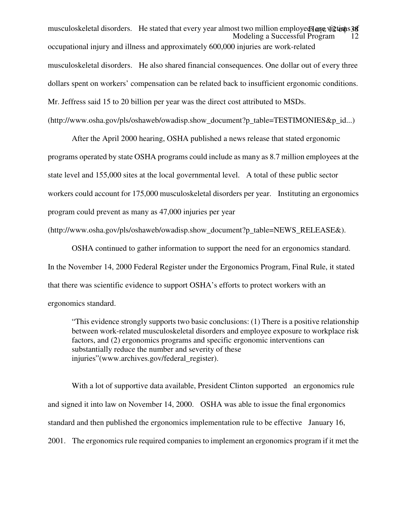Modeling a Successful Program 12 musculoskeletal disorders. He stated that every year almost two million employees are victions 38 occupational injury and illness and approximately 600,000 injuries are work-related musculoskeletal disorders. He also shared financial consequences. One dollar out of every three dollars spent on workers' compensation can be related back to insufficient ergonomic conditions. Mr. Jeffress said 15 to 20 billion per year was the direct cost attributed to MSDs.

(http://www.osha.gov/pls/oshaweb/owadisp.show\_document?p\_table=TESTIMONIES&p\_id...)

After the April 2000 hearing, OSHA published a news release that stated ergonomic programs operated by state OSHA programs could include as many as 8.7 million employees at the state level and 155,000 sites at the local governmental level. A total of these public sector workers could account for 175,000 musculoskeletal disorders per year. Instituting an ergonomics program could prevent as many as 47,000 injuries per year

(http://www.osha.gov/pls/oshaweb/owadisp.show\_document?p\_table=NEWS\_RELEASE&).

OSHA continued to gather information to support the need for an ergonomics standard. In the November 14, 2000 Federal Register under the Ergonomics Program, Final Rule, it stated that there was scientific evidence to support OSHA's efforts to protect workers with an ergonomics standard.

"This evidence strongly supports two basic conclusions: (1) There is a positive relationship between work-related musculoskeletal disorders and employee exposure to workplace risk factors, and (2) ergonomics programs and specific ergonomic interventions can substantially reduce the number and severity of these injuries"(www.archives.gov/federal\_register).

With a lot of supportive data available, President Clinton supported an ergonomics rule and signed it into law on November 14, 2000. OSHA was able to issue the final ergonomics standard and then published the ergonomics implementation rule to be effective January 16, 2001. The ergonomics rule required companies to implement an ergonomics program if it met the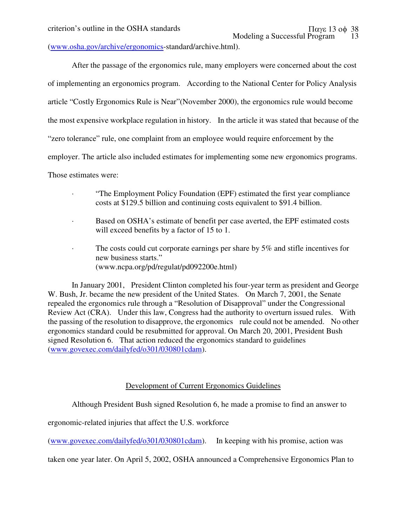(www.osha.gov/archive/ergonomics-standard/archive.html).

After the passage of the ergonomics rule, many employers were concerned about the cost of implementing an ergonomics program. According to the National Center for Policy Analysis article "Costly Ergonomics Rule is Near"(November 2000), the ergonomics rule would become the most expensive workplace regulation in history. In the article it was stated that because of the "zero tolerance" rule, one complaint from an employee would require enforcement by the employer. The article also included estimates for implementing some new ergonomics programs. Those estimates were:

- · "The Employment Policy Foundation (EPF) estimated the first year compliance costs at \$129.5 billion and continuing costs equivalent to \$91.4 billion.
- · Based on OSHA's estimate of benefit per case averted, the EPF estimated costs will exceed benefits by a factor of 15 to 1.
- · The costs could cut corporate earnings per share by 5% and stifle incentives for new business starts." (www.ncpa.org/pd/regulat/pd092200e.html)

In January 2001, President Clinton completed his four-year term as president and George W. Bush, Jr. became the new president of the United States. On March 7, 2001, the Senate repealed the ergonomics rule through a "Resolution of Disapproval" under the Congressional Review Act (CRA). Under this law, Congress had the authority to overturn issued rules. With the passing of the resolution to disapprove, the ergonomics rule could not be amended. No other ergonomics standard could be resubmitted for approval. On March 20, 2001, President Bush signed Resolution 6. That action reduced the ergonomics standard to guidelines (www.govexec.com/dailyfed/o301/030801cdam).

## Development of Current Ergonomics Guidelines

Although President Bush signed Resolution 6, he made a promise to find an answer to

ergonomic-related injuries that affect the U.S. workforce

(www.govexec.com/dailyfed/o301/030801cdam). In keeping with his promise, action was

taken one year later. On April 5, 2002, OSHA announced a Comprehensive Ergonomics Plan to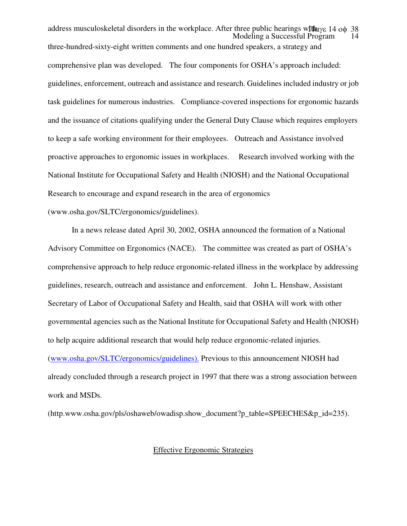Modeling a Successful Program address musculoskeletal disorders in the workplace. After three public hearings with  $\alpha$ γε 14 οφ 38 three-hundred-sixty-eight written comments and one hundred speakers, a strategy and comprehensive plan was developed. The four components for OSHA's approach included: guidelines, enforcement, outreach and assistance and research. Guidelines included industry or job task guidelines for numerous industries. Compliance-covered inspections for ergonomic hazards and the issuance of citations qualifying under the General Duty Clause which requires employers to keep a safe working environment for their employees. Outreach and Assistance involved proactive approaches to ergonomic issues in workplaces. Research involved working with the National Institute for Occupational Safety and Health (NIOSH) and the National Occupational Research to encourage and expand research in the area of ergonomics (www.osha.gov/SLTC/ergonomics/guidelines).

In a news release dated April 30, 2002, OSHA announced the formation of a National Advisory Committee on Ergonomics (NACE). The committee was created as part of OSHA's comprehensive approach to help reduce ergonomic-related illness in the workplace by addressing guidelines, research, outreach and assistance and enforcement. John L. Henshaw, Assistant Secretary of Labor of Occupational Safety and Health, said that OSHA will work with other governmental agencies such as the National Institute for Occupational Safety and Health (NIOSH) to help acquire additional research that would help reduce ergonomic-related injuries. (www.osha.gov/SLTC/ergonomics/guidelines). Previous to this announcement NIOSH had already concluded through a research project in 1997 that there was a strong association between work and MSDs.

(http.www.osha.gov/pls/oshaweb/owadisp.show\_document?p\_table=SPEECHES&p\_id=235).

#### Effective Ergonomic Strategies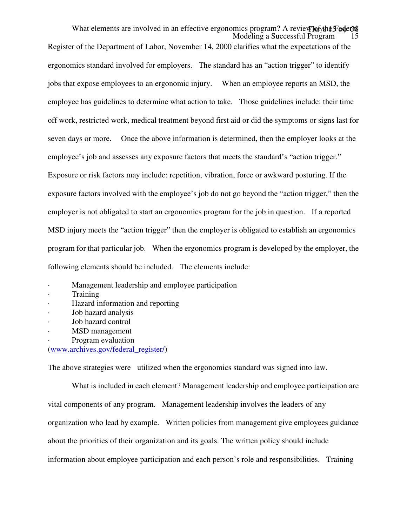Modeling a Successful Program What elements are involved in an effective ergonomics program? A review  $\phi$ Register of the Department of Labor, November 14, 2000 clarifies what the expectations of the ergonomics standard involved for employers. The standard has an "action trigger" to identify jobs that expose employees to an ergonomic injury. When an employee reports an MSD, the employee has guidelines to determine what action to take. Those guidelines include: their time off work, restricted work, medical treatment beyond first aid or did the symptoms or signs last for seven days or more. Once the above information is determined, then the employer looks at the employee's job and assesses any exposure factors that meets the standard's "action trigger." Exposure or risk factors may include: repetition, vibration, force or awkward posturing. If the exposure factors involved with the employee's job do not go beyond the "action trigger," then the employer is not obligated to start an ergonomics program for the job in question. If a reported MSD injury meets the "action trigger" then the employer is obligated to establish an ergonomics program for that particular job. When the ergonomics program is developed by the employer, the following elements should be included. The elements include:

- · Management leadership and employee participation
- · Training
- · Hazard information and reporting
- · Job hazard analysis
- Job hazard control
- MSD management
- Program evaluation

(www.archives.gov/federal\_register/)

The above strategies were utilized when the ergonomics standard was signed into law.

What is included in each element? Management leadership and employee participation are vital components of any program. Management leadership involves the leaders of any organization who lead by example. Written policies from management give employees guidance about the priorities of their organization and its goals. The written policy should include information about employee participation and each person's role and responsibilities. Training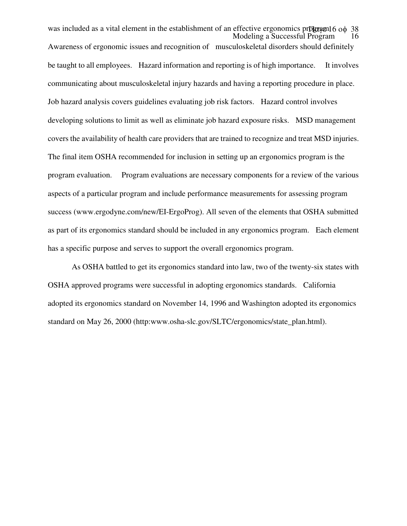Modeling a Successful Program was included as a vital element in the establishment of an effective ergonomics pr**D**gram16 οφ 38 Awareness of ergonomic issues and recognition of musculoskeletal disorders should definitely be taught to all employees. Hazard information and reporting is of high importance. It involves communicating about musculoskeletal injury hazards and having a reporting procedure in place. Job hazard analysis covers guidelines evaluating job risk factors. Hazard control involves developing solutions to limit as well as eliminate job hazard exposure risks. MSD management covers the availability of health care providers that are trained to recognize and treat MSD injuries. The final item OSHA recommended for inclusion in setting up an ergonomics program is the program evaluation. Program evaluations are necessary components for a review of the various aspects of a particular program and include performance measurements for assessing program success (www.ergodyne.com/new/EI-ErgoProg). All seven of the elements that OSHA submitted as part of its ergonomics standard should be included in any ergonomics program. Each element has a specific purpose and serves to support the overall ergonomics program.

As OSHA battled to get its ergonomics standard into law, two of the twenty-six states with OSHA approved programs were successful in adopting ergonomics standards. California adopted its ergonomics standard on November 14, 1996 and Washington adopted its ergonomics standard on May 26, 2000 (http:www.osha-slc.gov/SLTC/ergonomics/state\_plan.html).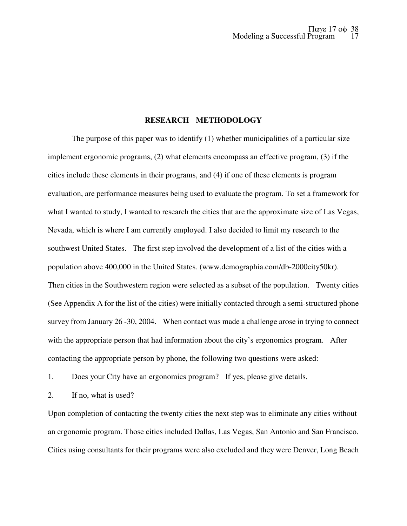## **RESEARCH METHODOLOGY**

The purpose of this paper was to identify (1) whether municipalities of a particular size implement ergonomic programs, (2) what elements encompass an effective program, (3) if the cities include these elements in their programs, and (4) if one of these elements is program evaluation, are performance measures being used to evaluate the program. To set a framework for what I wanted to study, I wanted to research the cities that are the approximate size of Las Vegas, Nevada, which is where I am currently employed. I also decided to limit my research to the southwest United States. The first step involved the development of a list of the cities with a population above 400,000 in the United States. (www.demographia.com/db-2000city50kr). Then cities in the Southwestern region were selected as a subset of the population. Twenty cities (See Appendix A for the list of the cities) were initially contacted through a semi-structured phone survey from January 26 -30, 2004. When contact was made a challenge arose in trying to connect with the appropriate person that had information about the city's ergonomics program. After contacting the appropriate person by phone, the following two questions were asked:

1. Does your City have an ergonomics program? If yes, please give details.

2. If no, what is used?

Upon completion of contacting the twenty cities the next step was to eliminate any cities without an ergonomic program. Those cities included Dallas, Las Vegas, San Antonio and San Francisco. Cities using consultants for their programs were also excluded and they were Denver, Long Beach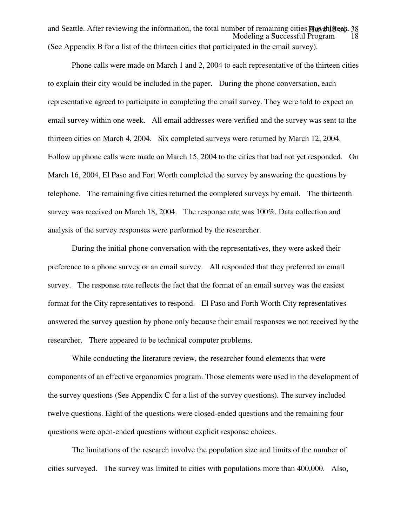Modeling a Successful Program and Seattle. After reviewing the information, the total number of remaining cities Maythiteen. 38 (See Appendix B for a list of the thirteen cities that participated in the email survey).

Phone calls were made on March 1 and 2, 2004 to each representative of the thirteen cities to explain their city would be included in the paper. During the phone conversation, each representative agreed to participate in completing the email survey. They were told to expect an email survey within one week. All email addresses were verified and the survey was sent to the thirteen cities on March 4, 2004. Six completed surveys were returned by March 12, 2004. Follow up phone calls were made on March 15, 2004 to the cities that had not yet responded. On March 16, 2004, El Paso and Fort Worth completed the survey by answering the questions by telephone. The remaining five cities returned the completed surveys by email. The thirteenth survey was received on March 18, 2004. The response rate was 100%. Data collection and analysis of the survey responses were performed by the researcher.

During the initial phone conversation with the representatives, they were asked their preference to a phone survey or an email survey. All responded that they preferred an email survey. The response rate reflects the fact that the format of an email survey was the easiest format for the City representatives to respond. El Paso and Forth Worth City representatives answered the survey question by phone only because their email responses we not received by the researcher. There appeared to be technical computer problems.

While conducting the literature review, the researcher found elements that were components of an effective ergonomics program. Those elements were used in the development of the survey questions (See Appendix C for a list of the survey questions). The survey included twelve questions. Eight of the questions were closed-ended questions and the remaining four questions were open-ended questions without explicit response choices.

The limitations of the research involve the population size and limits of the number of cities surveyed. The survey was limited to cities with populations more than 400,000. Also,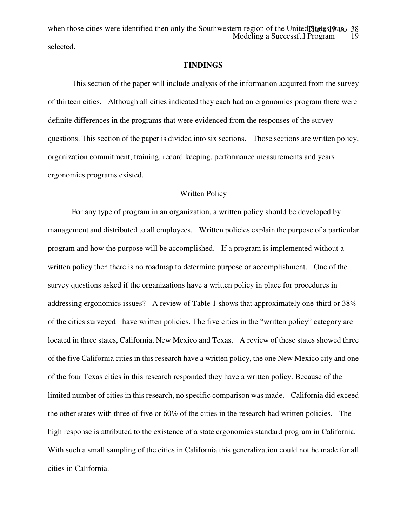Modeling a Successful Program 19 when those cities were identified then only the Southwestern region of the United States 9 ax 38 selected.

#### **FINDINGS**

This section of the paper will include analysis of the information acquired from the survey of thirteen cities. Although all cities indicated they each had an ergonomics program there were definite differences in the programs that were evidenced from the responses of the survey questions. This section of the paper is divided into six sections. Those sections are written policy, organization commitment, training, record keeping, performance measurements and years ergonomics programs existed.

#### Written Policy

For any type of program in an organization, a written policy should be developed by management and distributed to all employees. Written policies explain the purpose of a particular program and how the purpose will be accomplished. If a program is implemented without a written policy then there is no roadmap to determine purpose or accomplishment. One of the survey questions asked if the organizations have a written policy in place for procedures in addressing ergonomics issues? A review of Table 1 shows that approximately one-third or 38% of the cities surveyed have written policies. The five cities in the "written policy" category are located in three states, California, New Mexico and Texas. A review of these states showed three of the five California cities in this research have a written policy, the one New Mexico city and one of the four Texas cities in this research responded they have a written policy. Because of the limited number of cities in this research, no specific comparison was made. California did exceed the other states with three of five or 60% of the cities in the research had written policies. The high response is attributed to the existence of a state ergonomics standard program in California. With such a small sampling of the cities in California this generalization could not be made for all cities in California.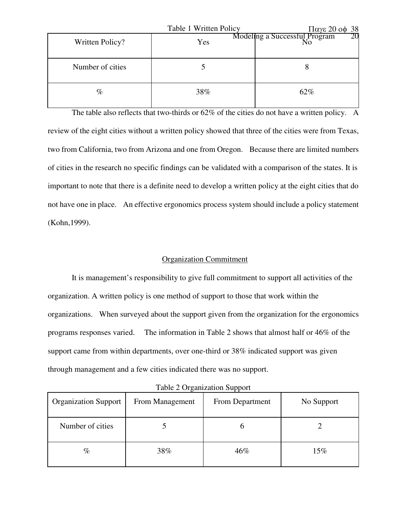|                  | Table 1 Written Policy | $\pi$ αγε 20 οφ 38                  |
|------------------|------------------------|-------------------------------------|
| Written Policy?  | Yes                    | Modeling a Successful Program<br>20 |
| Number of cities |                        |                                     |
| $\%$             | 38%                    | 62%                                 |

The table also reflects that two-thirds or 62% of the cities do not have a written policy. A review of the eight cities without a written policy showed that three of the cities were from Texas, two from California, two from Arizona and one from Oregon. Because there are limited numbers of cities in the research no specific findings can be validated with a comparison of the states. It is important to note that there is a definite need to develop a written policy at the eight cities that do not have one in place. An effective ergonomics process system should include a policy statement (Kohn,1999).

#### Organization Commitment

It is management's responsibility to give full commitment to support all activities of the organization. A written policy is one method of support to those that work within the organizations. When surveyed about the support given from the organization for the ergonomics programs responses varied. The information in Table 2 shows that almost half or 46% of the support came from within departments, over one-third or 38% indicated support was given through management and a few cities indicated there was no support.

| Table 2 Organization Support |  |
|------------------------------|--|
|------------------------------|--|

| <b>Organization Support</b> | From Management | . .<br>From Department | No Support |
|-----------------------------|-----------------|------------------------|------------|
| Number of cities            |                 |                        |            |
| $\%$                        | 38%             | 46%                    | 15%        |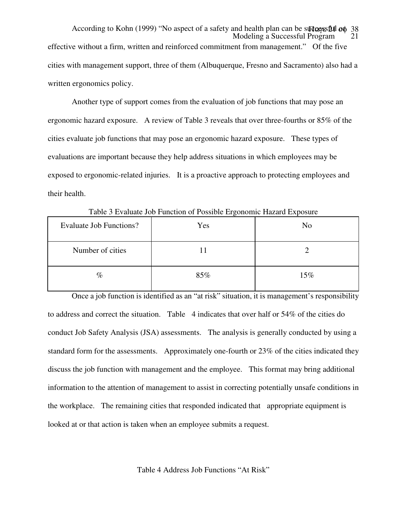Modeling a Successful Program According to Kohn (1999) "No aspect of a safety and health plan can be suders but op 38 effective without a firm, written and reinforced commitment from management." Of the five cities with management support, three of them (Albuquerque, Fresno and Sacramento) also had a written ergonomics policy.

Another type of support comes from the evaluation of job functions that may pose an ergonomic hazard exposure. A review of Table 3 reveals that over three-fourths or 85% of the cities evaluate job functions that may pose an ergonomic hazard exposure. These types of evaluations are important because they help address situations in which employees may be exposed to ergonomic-related injuries. It is a proactive approach to protecting employees and their health.

| Evaluate Job Functions? | Yes | N <sub>o</sub> |
|-------------------------|-----|----------------|
| Number of cities        |     |                |
| $\%$                    | 85% | 15%            |

Table 3 Evaluate Job Function of Possible Ergonomic Hazard Exposure

Once a job function is identified as an "at risk" situation, it is management's responsibility to address and correct the situation. Table 4 indicates that over half or 54% of the cities do conduct Job Safety Analysis (JSA) assessments. The analysis is generally conducted by using a standard form for the assessments. Approximately one-fourth or 23% of the cities indicated they discuss the job function with management and the employee. This format may bring additional information to the attention of management to assist in correcting potentially unsafe conditions in the workplace. The remaining cities that responded indicated that appropriate equipment is looked at or that action is taken when an employee submits a request.

Table 4 Address Job Functions "At Risk"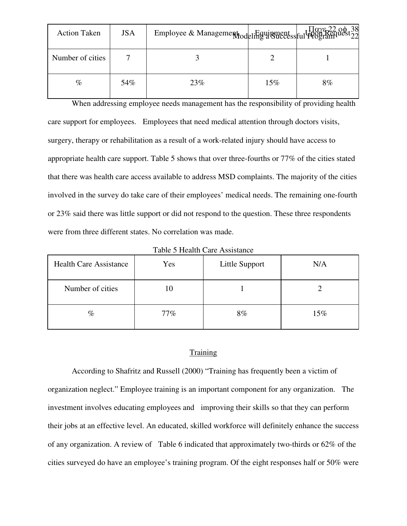| <b>Action Taken</b> | <b>JSA</b> | Employee & Management deling a Successful Program |     |    |
|---------------------|------------|---------------------------------------------------|-----|----|
| Number of cities    |            |                                                   |     |    |
| $\%$                | 54%        | 23%                                               | 15% | 8% |

When addressing employee needs management has the responsibility of providing health care support for employees. Employees that need medical attention through doctors visits, surgery, therapy or rehabilitation as a result of a work-related injury should have access to appropriate health care support. Table 5 shows that over three-fourths or 77% of the cities stated that there was health care access available to address MSD complaints. The majority of the cities involved in the survey do take care of their employees' medical needs. The remaining one-fourth or 23% said there was little support or did not respond to the question. These three respondents were from three different states. No correlation was made.

| <b>Health Care Assistance</b> | Yes | Little Support | N/A |
|-------------------------------|-----|----------------|-----|
| Number of cities              | 10  |                |     |
| $\%$                          | 77% | 8%             | 15% |

Table 5 Health Care Assistance

# **Training**

According to Shafritz and Russell (2000) "Training has frequently been a victim of organization neglect." Employee training is an important component for any organization. The investment involves educating employees and improving their skills so that they can perform their jobs at an effective level. An educated, skilled workforce will definitely enhance the success of any organization. A review of Table 6 indicated that approximately two-thirds or 62% of the cities surveyed do have an employee's training program. Of the eight responses half or 50% were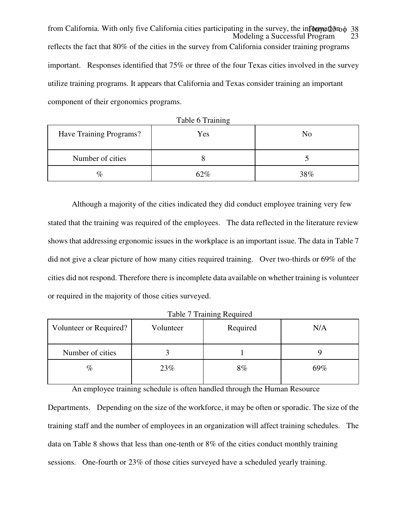Modeling a Successful Program from California. With only five California cities participating in the survey, the information 38 reflects the fact that 80% of the cities in the survey from California consider training programs important. Responses identified that 75% or three of the four Texas cities involved in the survey utilize training programs. It appears that California and Texas consider training an important component of their ergonomics programs.

| Have Training Programs? | Yes | No  |
|-------------------------|-----|-----|
| Number of cities        |     |     |
| $\%$                    | 62% | 38% |

Table 6 Training

Although a majority of the cities indicated they did conduct employee training very few stated that the training was required of the employees. The data reflected in the literature review shows that addressing ergonomic issues in the workplace is an important issue. The data in Table 7 did not give a clear picture of how many cities required training. Over two-thirds or 69% of the cities did not respond. Therefore there is incomplete data available on whether training is volunteer or required in the majority of those cities surveyed.

| Volunteer or Required? | Volunteer | Required | N/A |
|------------------------|-----------|----------|-----|
| Number of cities       |           |          |     |
| $\%$                   | 23%       | 8%       | 69% |

Table 7 Training Required

An employee training schedule is often handled through the Human Resource

Departments. Depending on the size of the workforce, it may be often or sporadic. The size of the training staff and the number of employees in an organization will affect training schedules. The data on Table 8 shows that less than one-tenth or 8% of the cities conduct monthly training sessions. One-fourth or 23% of those cities surveyed have a scheduled yearly training.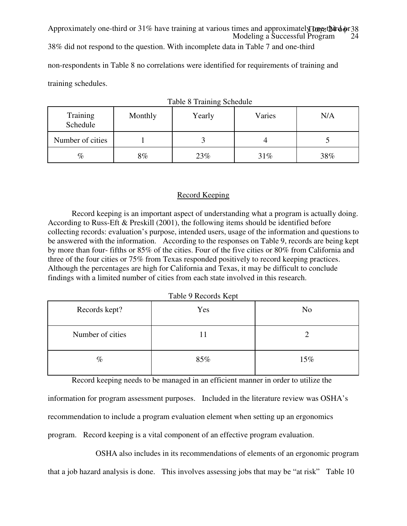Modeling a Successful Program 24 Approximately one-third or 31% have training at various times and approximately **Done-that**  $\phi$  or 38 38% did not respond to the question. With incomplete data in Table 7 and one-third non-respondents in Table 8 no correlations were identified for requirements of training and training schedules.

| Training<br>Schedule | Monthly | Yearly | Varies | N/A |
|----------------------|---------|--------|--------|-----|
| Number of cities     |         |        |        |     |
| $\%$                 | 8%      | 23%    | 31%    | 38% |

|  |  |  | Table 8 Training Schedule |
|--|--|--|---------------------------|
|--|--|--|---------------------------|

## Record Keeping

Record keeping is an important aspect of understanding what a program is actually doing. According to Russ-Eft & Preskill (2001), the following items should be identified before collecting records: evaluation's purpose, intended users, usage of the information and questions to be answered with the information. According to the responses on Table 9, records are being kept by more than four- fifths or 85% of the cities. Four of the five cities or 80% from California and three of the four cities or 75% from Texas responded positively to record keeping practices. Although the percentages are high for California and Texas, it may be difficult to conclude findings with a limited number of cities from each state involved in this research.

Table 9 Records Kept

| Records kept?    | Yes | N <sub>o</sub> |
|------------------|-----|----------------|
| Number of cities | 11  |                |
| $\%$             | 85% | 15%            |

Record keeping needs to be managed in an efficient manner in order to utilize the

information for program assessment purposes. Included in the literature review was OSHA's recommendation to include a program evaluation element when setting up an ergonomics program. Record keeping is a vital component of an effective program evaluation.

OSHA also includes in its recommendations of elements of an ergonomic program that a job hazard analysis is done. This involves assessing jobs that may be "at risk" Table 10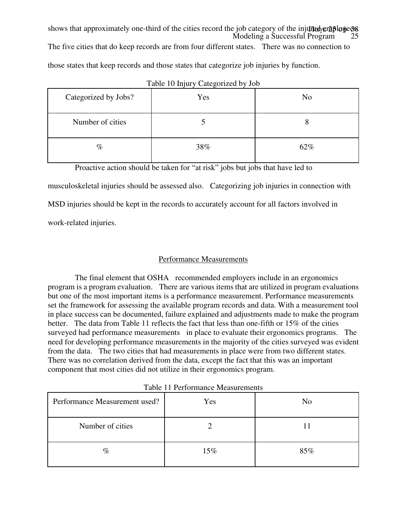Modeling a Successful Program 25 shows that approximately one-third of the cities record the job category of the injurned employees.

The five cities that do keep records are from four different states. There was no connection to

those states that keep records and those states that categorize job injuries by function.

| Categorized by Jobs? | Yes | N <sub>o</sub> |
|----------------------|-----|----------------|
| Number of cities     |     | Ω              |
| $\%$                 | 38% | 62%            |

|  |  | Table 10 Injury Categorized by Job |  |  |
|--|--|------------------------------------|--|--|
|--|--|------------------------------------|--|--|

Proactive action should be taken for "at risk" jobs but jobs that have led to

musculoskeletal injuries should be assessed also. Categorizing job injuries in connection with

MSD injuries should be kept in the records to accurately account for all factors involved in

work-related injuries.

# Performance Measurements

 The final element that OSHA recommended employers include in an ergonomics program is a program evaluation. There are various items that are utilized in program evaluations but one of the most important items is a performance measurement. Performance measurements set the framework for assessing the available program records and data. With a measurement tool in place success can be documented, failure explained and adjustments made to make the program better. The data from Table 11 reflects the fact that less than one-fifth or 15% of the cities surveyed had performance measurements in place to evaluate their ergonomics programs. The need for developing performance measurements in the majority of the cities surveyed was evident from the data. The two cities that had measurements in place were from two different states. There was no correlation derived from the data, except the fact that this was an important component that most cities did not utilize in their ergonomics program.

|                               | Tuble 11 I chomination interabatements |                |
|-------------------------------|----------------------------------------|----------------|
| Performance Measurement used? | Yes                                    | N <sub>o</sub> |
| Number of cities              |                                        |                |
| $\%$                          | 15%                                    | 85%            |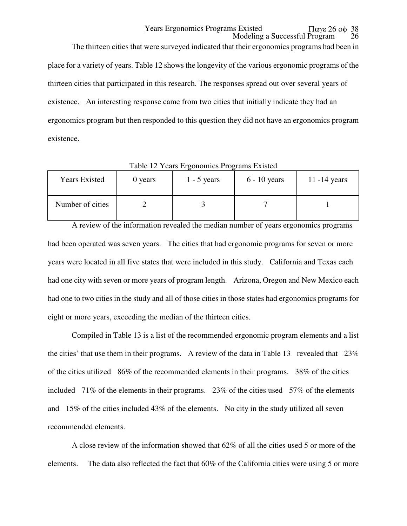Modeling a Successful Program Years Ergonomics Programs Existed Παγε 26 οφ 38

The thirteen cities that were surveyed indicated that their ergonomics programs had been in place for a variety of years. Table 12 shows the longevity of the various ergonomic programs of the thirteen cities that participated in this research. The responses spread out over several years of existence. An interesting response came from two cities that initially indicate they had an ergonomics program but then responded to this question they did not have an ergonomics program existence.

| <b>Years Existed</b> | 0 years | $1 - 5$ years | $6 - 10$ years | 11 $-14$ years |
|----------------------|---------|---------------|----------------|----------------|
| Number of cities     |         |               |                |                |

Table 12 Years Ergonomics Programs Existed

A review of the information revealed the median number of years ergonomics programs had been operated was seven years. The cities that had ergonomic programs for seven or more years were located in all five states that were included in this study. California and Texas each had one city with seven or more years of program length. Arizona, Oregon and New Mexico each had one to two cities in the study and all of those cities in those states had ergonomics programs for eight or more years, exceeding the median of the thirteen cities.

Compiled in Table 13 is a list of the recommended ergonomic program elements and a list the cities' that use them in their programs. A review of the data in Table 13 revealed that 23% of the cities utilized 86% of the recommended elements in their programs. 38% of the cities included 71% of the elements in their programs. 23% of the cities used 57% of the elements and 15% of the cities included 43% of the elements. No city in the study utilized all seven recommended elements.

A close review of the information showed that 62% of all the cities used 5 or more of the elements. The data also reflected the fact that 60% of the California cities were using 5 or more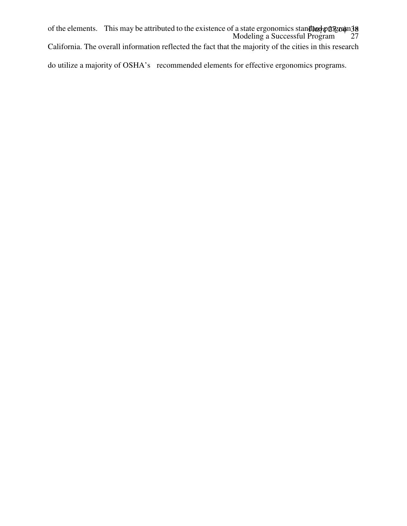Modeling a Successful Program 27 of the elements. This may be attributed to the existence of a state ergonomics stand box program 38

California. The overall information reflected the fact that the majority of the cities in this research

do utilize a majority of OSHA's recommended elements for effective ergonomics programs.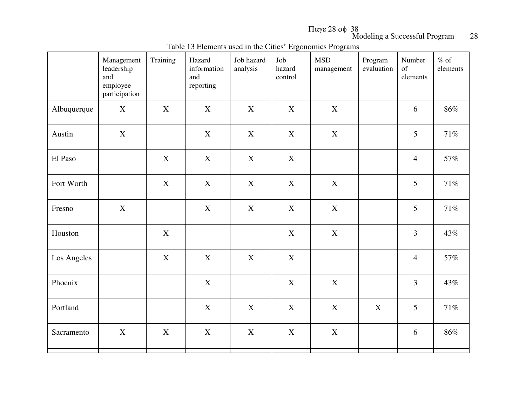Παγε <sup>28</sup> οφ <sup>38</sup>

Modeling a Successful Program 28

|             | Management<br>leadership<br>and<br>employee<br>participation | Training    | Hazard<br>information<br>and<br>reporting | Job hazard<br>analysis | Job<br>hazard<br>control  | <b>MSD</b><br>management | Program<br>evaluation | Number<br>of<br>elements | $%$ of<br>elements |
|-------------|--------------------------------------------------------------|-------------|-------------------------------------------|------------------------|---------------------------|--------------------------|-----------------------|--------------------------|--------------------|
| Albuquerque | $\mathbf X$                                                  | X           | $\mathbf X$                               | X                      | $\mathbf X$               | $\mathbf X$              |                       | 6                        | 86%                |
| Austin      | $\mathbf X$                                                  |             | $\mathbf X$                               | $\mathbf X$            | $\mathbf X$               | $\mathbf X$              |                       | 5                        | 71%                |
| El Paso     |                                                              | X           | $\mathbf X$                               | X                      | $\mathbf X$               |                          |                       | $\overline{4}$           | 57%                |
| Fort Worth  |                                                              | X           | $\mathbf X$                               | $\mathbf X$            | $\boldsymbol{\mathrm{X}}$ | $\boldsymbol{X}$         |                       | 5                        | 71%                |
| Fresno      | X                                                            |             | $\mathbf X$                               | X                      | $\mathbf X$               | $\boldsymbol{X}$         |                       | 5                        | 71%                |
| Houston     |                                                              | X           |                                           |                        | $\mathbf X$               | $\mathbf X$              |                       | $\overline{3}$           | 43%                |
| Los Angeles |                                                              | X           | $\mathbf X$                               | X                      | $\mathbf X$               |                          |                       | $\overline{4}$           | 57%                |
| Phoenix     |                                                              |             | $\mathbf X$                               |                        | $\mathbf X$               | $\mathbf X$              |                       | $\overline{3}$           | 43%                |
| Portland    |                                                              |             | $\mathbf X$                               | X                      | $\mathbf X$               | $\mathbf X$              | $\mathbf X$           | 5                        | 71%                |
| Sacramento  | $\mathbf X$                                                  | $\mathbf X$ | $\mathbf X$                               | $\mathbf X$            | $\mathbf X$               | $\mathbf X$              |                       | 6                        | 86%                |
|             |                                                              |             |                                           |                        |                           |                          |                       |                          |                    |

Table 13 Elements used in the Cities' Ergonomics Programs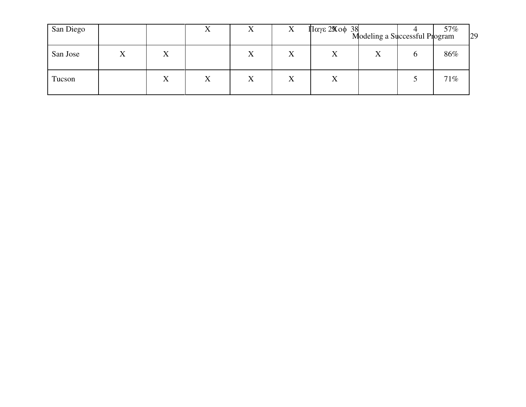| San Diego |   | 77 | $\Lambda$ | $\Lambda$ | $\Pi$ αγε 2 $\chi$ οφ 38 | Modeling a Successful Program |   | 57% | 29 |
|-----------|---|----|-----------|-----------|--------------------------|-------------------------------|---|-----|----|
| San Jose  | X |    | X         | X         | X                        | $\rm X$                       | O | 86% |    |
| Tucson    | X | X  | $\rm X$   | X         | X                        |                               |   | 71% |    |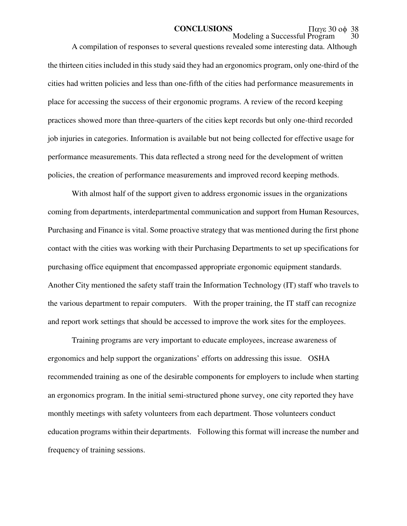A compilation of responses to several questions revealed some interesting data. Although the thirteen cities included in this study said they had an ergonomics program, only one-third of the cities had written policies and less than one-fifth of the cities had performance measurements in place for accessing the success of their ergonomic programs. A review of the record keeping practices showed more than three-quarters of the cities kept records but only one-third recorded job injuries in categories. Information is available but not being collected for effective usage for performance measurements. This data reflected a strong need for the development of written policies, the creation of performance measurements and improved record keeping methods.

 With almost half of the support given to address ergonomic issues in the organizations coming from departments, interdepartmental communication and support from Human Resources, Purchasing and Finance is vital. Some proactive strategy that was mentioned during the first phone contact with the cities was working with their Purchasing Departments to set up specifications for purchasing office equipment that encompassed appropriate ergonomic equipment standards. Another City mentioned the safety staff train the Information Technology (IT) staff who travels to the various department to repair computers. With the proper training, the IT staff can recognize and report work settings that should be accessed to improve the work sites for the employees.

Training programs are very important to educate employees, increase awareness of ergonomics and help support the organizations' efforts on addressing this issue. OSHA recommended training as one of the desirable components for employers to include when starting an ergonomics program. In the initial semi-structured phone survey, one city reported they have monthly meetings with safety volunteers from each department. Those volunteers conduct education programs within their departments. Following this format will increase the number and frequency of training sessions.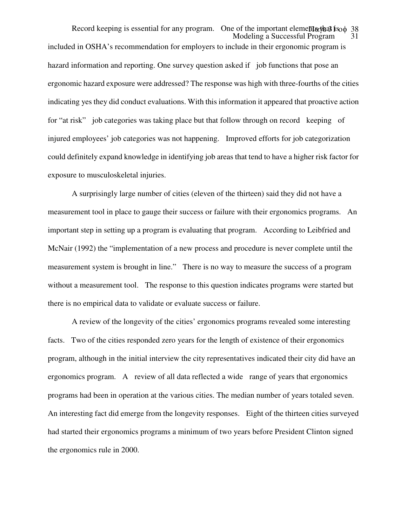Modeling a Successful Program Record keeping is essential for any program. One of the important elements that is 38 included in OSHA's recommendation for employers to include in their ergonomic program is hazard information and reporting. One survey question asked if job functions that pose an ergonomic hazard exposure were addressed? The response was high with three-fourths of the cities indicating yes they did conduct evaluations. With this information it appeared that proactive action for "at risk" job categories was taking place but that follow through on record keeping of injured employees' job categories was not happening. Improved efforts for job categorization could definitely expand knowledge in identifying job areas that tend to have a higher risk factor for exposure to musculoskeletal injuries.

A surprisingly large number of cities (eleven of the thirteen) said they did not have a measurement tool in place to gauge their success or failure with their ergonomics programs. An important step in setting up a program is evaluating that program. According to Leibfried and McNair (1992) the "implementation of a new process and procedure is never complete until the measurement system is brought in line." There is no way to measure the success of a program without a measurement tool. The response to this question indicates programs were started but there is no empirical data to validate or evaluate success or failure.

A review of the longevity of the cities' ergonomics programs revealed some interesting facts. Two of the cities responded zero years for the length of existence of their ergonomics program, although in the initial interview the city representatives indicated their city did have an ergonomics program. A review of all data reflected a wide range of years that ergonomics programs had been in operation at the various cities. The median number of years totaled seven. An interesting fact did emerge from the longevity responses. Eight of the thirteen cities surveyed had started their ergonomics programs a minimum of two years before President Clinton signed the ergonomics rule in 2000.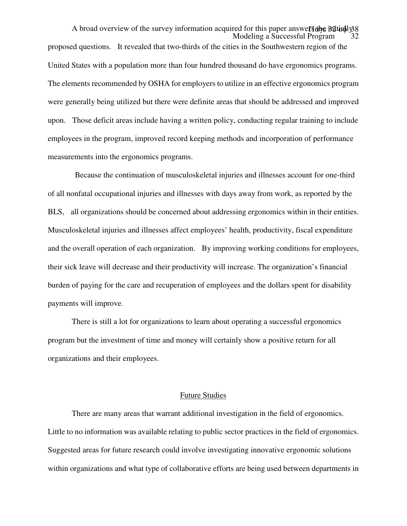Modeling a Successful Program A broad overview of the survey information acquired for this paper answers the Buttall γ38 proposed questions. It revealed that two-thirds of the cities in the Southwestern region of the United States with a population more than four hundred thousand do have ergonomics programs. The elements recommended by OSHA for employers to utilize in an effective ergonomics program were generally being utilized but there were definite areas that should be addressed and improved upon. Those deficit areas include having a written policy, conducting regular training to include employees in the program, improved record keeping methods and incorporation of performance measurements into the ergonomics programs.

 Because the continuation of musculoskeletal injuries and illnesses account for one-third of all nonfatal occupational injuries and illnesses with days away from work, as reported by the BLS, all organizations should be concerned about addressing ergonomics within in their entities. Musculoskeletal injuries and illnesses affect employees' health, productivity, fiscal expenditure and the overall operation of each organization. By improving working conditions for employees, their sick leave will decrease and their productivity will increase. The organization's financial burden of paying for the care and recuperation of employees and the dollars spent for disability payments will improve.

There is still a lot for organizations to learn about operating a successful ergonomics program but the investment of time and money will certainly show a positive return for all organizations and their employees.

#### Future Studies

There are many areas that warrant additional investigation in the field of ergonomics. Little to no information was available relating to public sector practices in the field of ergonomics. Suggested areas for future research could involve investigating innovative ergonomic solutions within organizations and what type of collaborative efforts are being used between departments in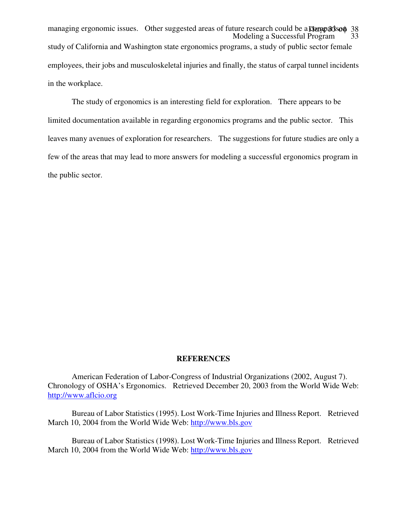Modeling a Successful Program 33 managing ergonomic issues. Other suggested areas of future research could be a **comparison** 38 study of California and Washington state ergonomics programs, a study of public sector female employees, their jobs and musculoskeletal injuries and finally, the status of carpal tunnel incidents in the workplace.

The study of ergonomics is an interesting field for exploration. There appears to be limited documentation available in regarding ergonomics programs and the public sector. This leaves many avenues of exploration for researchers. The suggestions for future studies are only a few of the areas that may lead to more answers for modeling a successful ergonomics program in the public sector.

#### **REFERENCES**

American Federation of Labor-Congress of Industrial Organizations (2002, August 7). Chronology of OSHA's Ergonomics. Retrieved December 20, 2003 from the World Wide Web: http://www.aflcio.org

Bureau of Labor Statistics (1995). Lost Work-Time Injuries and Illness Report. Retrieved March 10, 2004 from the World Wide Web: http://www.bls.gov

Bureau of Labor Statistics (1998). Lost Work-Time Injuries and Illness Report. Retrieved March 10, 2004 from the World Wide Web: http://www.bls.gov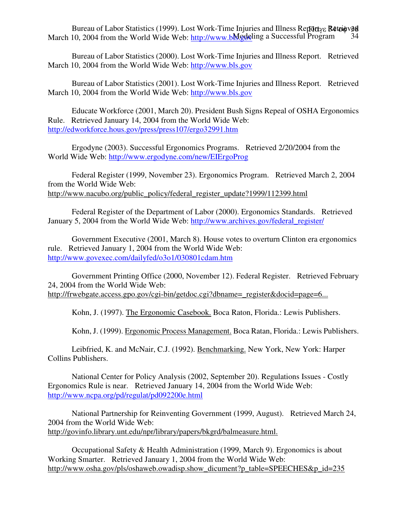March 10, 2004 from the World Wide Web: http://www.blogeleding a Successful Program 34 Bureau of Labor Statistics (1999). Lost Work-Time Injuries and Illness Report **R4toieved**<br>10. 2004 from the World Wide Web: http://www.bModeling a Successful Program 34

Bureau of Labor Statistics (2000). Lost Work-Time Injuries and Illness Report. Retrieved March 10, 2004 from the World Wide Web: http://www.bls.gov

Bureau of Labor Statistics (2001). Lost Work-Time Injuries and Illness Report. Retrieved March 10, 2004 from the World Wide Web: http://www.bls.gov

Educate Workforce (2001, March 20). President Bush Signs Repeal of OSHA Ergonomics Rule. Retrieved January 14, 2004 from the World Wide Web: http://edworkforce.hous.gov/press/press107/ergo32991.htm

Ergodyne (2003). Successful Ergonomics Programs. Retrieved 2/20/2004 from the World Wide Web: http://www.ergodyne.com/new/EIErgoProg

Federal Register (1999, November 23). Ergonomics Program. Retrieved March 2, 2004 from the World Wide Web: http://www.nacubo.org/public\_policy/federal\_register\_update?1999/112399.html

Federal Register of the Department of Labor (2000). Ergonomics Standards. Retrieved January 5, 2004 from the World Wide Web: http://www.archives.gov/federal\_register/

Government Executive (2001, March 8). House votes to overturn Clinton era ergonomics rule. Retrieved January 1, 2004 from the World Wide Web: http://www.govexec.com/dailyfed/o3o1/030801cdam.htm

Government Printing Office (2000, November 12). Federal Register. Retrieved February 24, 2004 from the World Wide Web: http://frwebgate.access.gpo.gov/cgi-bin/getdoc.cgi?dbname= register&docid=page=6...

Kohn, J. (1997). The Ergonomic Casebook. Boca Raton, Florida.: Lewis Publishers.

Kohn, J. (1999). Ergonomic Process Management. Boca Ratan, Florida.: Lewis Publishers.

Leibfried, K. and McNair, C.J. (1992). Benchmarking. New York, New York: Harper Collins Publishers.

National Center for Policy Analysis (2002, September 20). Regulations Issues - Costly Ergonomics Rule is near. Retrieved January 14, 2004 from the World Wide Web: http://www.ncpa.org/pd/regulat/pd092200e.html

National Partnership for Reinventing Government (1999, August). Retrieved March 24, 2004 from the World Wide Web: http://govinfo.library.unt.edu/npr/library/papers/bkgrd/balmeasure.html.

Occupational Safety & Health Administration (1999, March 9). Ergonomics is about Working Smarter. Retrieved January 1, 2004 from the World Wide Web: http://www.osha.gov/pls/oshaweb.owadisp.show\_dicument?p\_table=SPEECHES&p\_id=235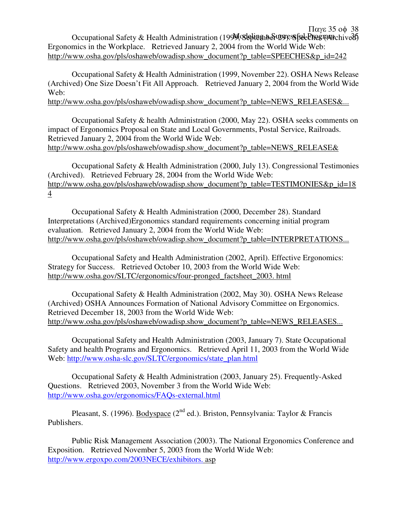Occupational Safety & Health Administration (1999, September 299, September 2016) Παγε 35 οφ 38 Ergonomics in the Workplace. Retrieved January 2, 2004 from the World Wide Web: http://www.osha.gov/pls/oshaweb/owadisp.show\_document?p\_table=SPEECHES&p\_id=242

Occupational Safety & Health Administration (1999, November 22). OSHA News Release (Archived) One Size Doesn't Fit All Approach. Retrieved January 2, 2004 from the World Wide Web:

http://www.osha.gov/pls/oshaweb/owadisp.show\_document?p\_table=NEWS\_RELEASES&...

Occupational Safety & health Administration (2000, May 22). OSHA seeks comments on impact of Ergonomics Proposal on State and Local Governments, Postal Service, Railroads. Retrieved January 2, 2004 from the World Wide Web: http://www.osha.gov/pls/oshaweb/owadisp.show\_document?p\_table=NEWS\_RELEASE&

Occupational Safety & Health Administration (2000, July 13). Congressional Testimonies (Archived). Retrieved February 28, 2004 from the World Wide Web: http://www.osha.gov/pls/oshaweb/owadisp.show\_document?p\_table=TESTIMONIES&p\_id=18 4

Occupational Safety & Health Administration (2000, December 28). Standard Interpretations (Archived)Ergonomics standard requirements concerning initial program evaluation. Retrieved January 2, 2004 from the World Wide Web: http://www.osha.gov/pls/oshaweb/owadisp.show\_document?p\_table=INTERPRETATIONS...

Occupational Safety and Health Administration (2002, April). Effective Ergonomics: Strategy for Success. Retrieved October 10, 2003 from the World Wide Web: http://www.osha.gov/SLTC/ergonomics/four-pronged\_factsheet\_2003. html

Occupational Safety & Health Administration (2002, May 30). OSHA News Release (Archived) OSHA Announces Formation of National Advisory Committee on Ergonomics. Retrieved December 18, 2003 from the World Wide Web: http://www.osha.gov/pls/oshaweb/owadisp.show\_document?p\_table=NEWS\_RELEASES...

Occupational Safety and Health Administration (2003, January 7). State Occupational Safety and health Programs and Ergonomics. Retrieved April 11, 2003 from the World Wide Web: http://www.osha-slc.gov/SLTC/ergonomics/state\_plan.html

Occupational Safety & Health Administration (2003, January 25). Frequently-Asked Questions. Retrieved 2003, November 3 from the World Wide Web: http://www.osha.gov/ergonomics/FAQs-external.html

Pleasant, S. (1996). Bodyspace ( $2<sup>nd</sup>$  ed.). Briston, Pennsylvania: Taylor & Francis Publishers.

Public Risk Management Association (2003). The National Ergonomics Conference and Exposition. Retrieved November 5, 2003 from the World Wide Web: http://www.ergoxpo.com/2003NECE/exhibitors. asp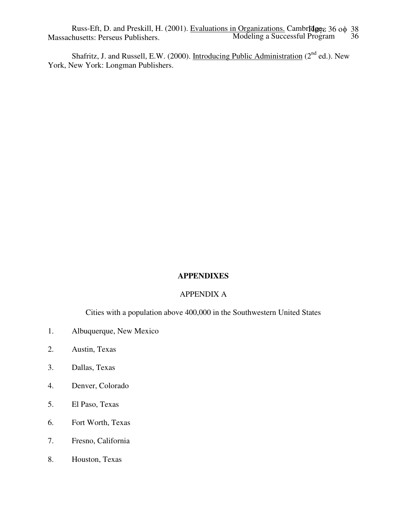Modeling a Successful Program 36 Russ-Eft, D. and Preskill, H. (2001). Evaluations in Organizations. Cambridge, 36 οφ 38 Massachusetts: Perseus Publishers.

Shafritz, J. and Russell, E.W. (2000). Introducing Public Administration (2<sup>nd</sup> ed.). New York, New York: Longman Publishers.

# **APPENDIXES**

## APPENDIX A

Cities with a population above 400,000 in the Southwestern United States

- 1. Albuquerque, New Mexico
- 2. Austin, Texas
- 3. Dallas, Texas
- 4. Denver, Colorado
- 5. El Paso, Texas
- 6. Fort Worth, Texas
- 7. Fresno, California
- 8. Houston, Texas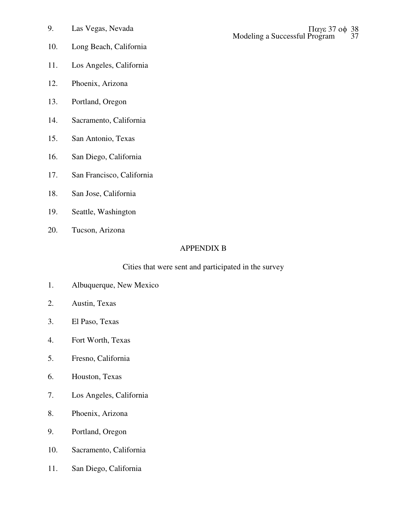- 10. Long Beach, California
- 11. Los Angeles, California
- 12. Phoenix, Arizona
- 13. Portland, Oregon
- 14. Sacramento, California
- 15. San Antonio, Texas
- 16. San Diego, California
- 17. San Francisco, California
- 18. San Jose, California
- 19. Seattle, Washington
- 20. Tucson, Arizona

## APPENDIX B

## Cities that were sent and participated in the survey

- 1. Albuquerque, New Mexico
- 2. Austin, Texas
- 3. El Paso, Texas
- 4. Fort Worth, Texas
- 5. Fresno, California
- 6. Houston, Texas
- 7. Los Angeles, California
- 8. Phoenix, Arizona
- 9. Portland, Oregon
- 10. Sacramento, California
- 11. San Diego, California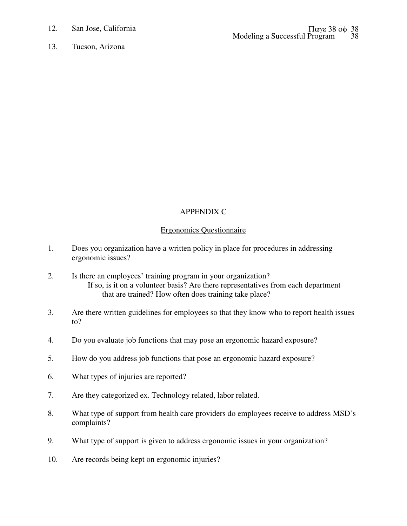12. San Jose, California

13. Tucson, Arizona

# APPENDIX C

# Ergonomics Questionnaire

- 1. Does you organization have a written policy in place for procedures in addressing ergonomic issues?
- 2. Is there an employees' training program in your organization? If so, is it on a volunteer basis? Are there representatives from each department that are trained? How often does training take place?
- 3. Are there written guidelines for employees so that they know who to report health issues to?
- 4. Do you evaluate job functions that may pose an ergonomic hazard exposure?
- 5. How do you address job functions that pose an ergonomic hazard exposure?
- 6. What types of injuries are reported?
- 7. Are they categorized ex. Technology related, labor related.
- 8. What type of support from health care providers do employees receive to address MSD's complaints?
- 9. What type of support is given to address ergonomic issues in your organization?
- 10. Are records being kept on ergonomic injuries?